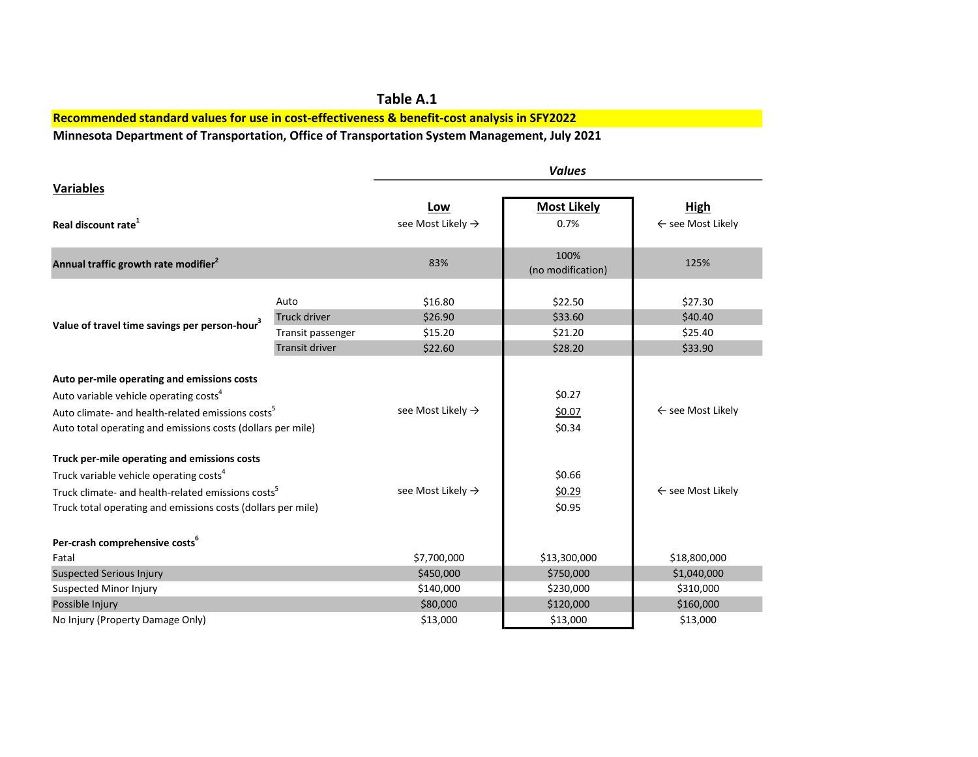## Table A.1 Recommended standard values for use in cost-effectiveness & benefit-cost analysis in SFY2022

Minnesota Department of Transportation, Office of Transportation System Management, July 2021

|                                                                                                                                                                                                                                   |                       | <b>Values</b>                 |                            |                              |  |
|-----------------------------------------------------------------------------------------------------------------------------------------------------------------------------------------------------------------------------------|-----------------------|-------------------------------|----------------------------|------------------------------|--|
| <b>Variables</b>                                                                                                                                                                                                                  |                       |                               |                            |                              |  |
|                                                                                                                                                                                                                                   |                       | Low                           | <b>Most Likely</b>         | <b>High</b>                  |  |
| Real discount rate <sup>1</sup>                                                                                                                                                                                                   |                       | see Most Likely $\rightarrow$ | 0.7%                       | $\leftarrow$ see Most Likely |  |
| Annual traffic growth rate modifier <sup>2</sup>                                                                                                                                                                                  |                       | 83%                           | 100%<br>(no modification)  | 125%                         |  |
| Value of travel time savings per person-hour <sup>3</sup>                                                                                                                                                                         | Auto                  | \$16.80                       | \$22.50                    | \$27.30                      |  |
|                                                                                                                                                                                                                                   | <b>Truck driver</b>   | \$26.90                       | \$33.60                    | \$40.40                      |  |
|                                                                                                                                                                                                                                   | Transit passenger     | \$15.20                       | \$21.20                    | \$25.40                      |  |
|                                                                                                                                                                                                                                   | <b>Transit driver</b> | \$22.60                       | \$28.20                    | \$33.90                      |  |
| Auto per-mile operating and emissions costs<br>Auto variable vehicle operating costs <sup>4</sup><br>Auto climate- and health-related emissions costs <sup>5</sup><br>Auto total operating and emissions costs (dollars per mile) |                       | see Most Likely $\rightarrow$ | \$0.27<br>\$0.07<br>\$0.34 | $\leftarrow$ see Most Likely |  |
| Truck per-mile operating and emissions costs                                                                                                                                                                                      |                       |                               |                            |                              |  |
| Truck variable vehicle operating costs <sup>4</sup>                                                                                                                                                                               |                       | see Most Likely $\rightarrow$ | \$0.66                     | $\leftarrow$ see Most Likely |  |
| Truck climate- and health-related emissions costs <sup>5</sup><br>Truck total operating and emissions costs (dollars per mile)                                                                                                    |                       |                               | \$0.29<br>\$0.95           |                              |  |
| Per-crash comprehensive costs <sup>6</sup>                                                                                                                                                                                        |                       |                               |                            |                              |  |
| Fatal                                                                                                                                                                                                                             |                       | \$7,700,000                   | \$13,300,000               | \$18,800,000                 |  |
| <b>Suspected Serious Injury</b>                                                                                                                                                                                                   |                       | \$450,000                     | \$750,000                  | \$1,040,000                  |  |
| <b>Suspected Minor Injury</b>                                                                                                                                                                                                     |                       | \$140,000                     | \$230,000                  | \$310,000                    |  |
| Possible Injury                                                                                                                                                                                                                   |                       | \$80,000                      | \$120,000                  | \$160,000                    |  |
| No Injury (Property Damage Only)                                                                                                                                                                                                  |                       | \$13,000                      | \$13,000                   | \$13,000                     |  |